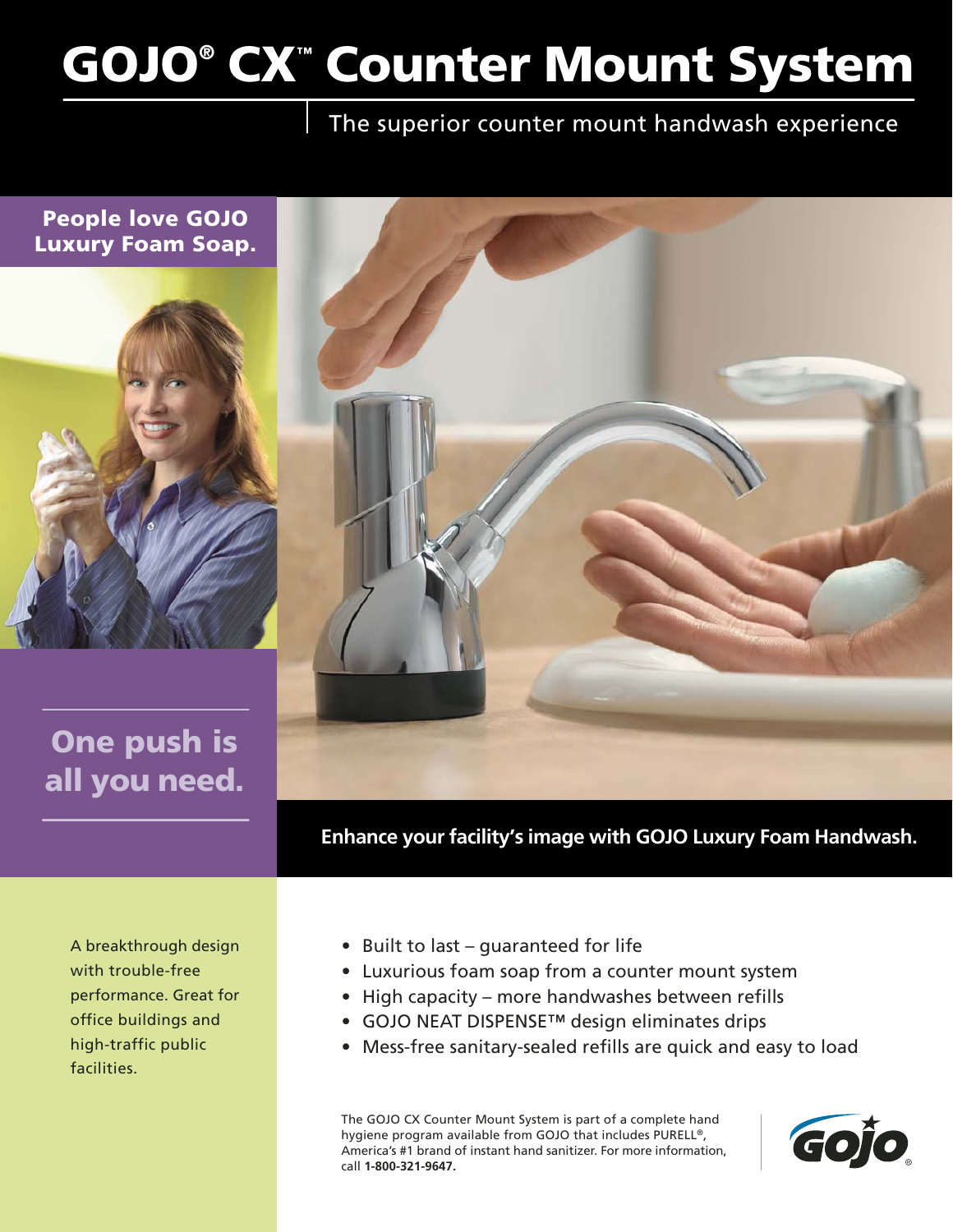# **GOJO® CX™ Counter Mount System**

## The superior counter mount handwash experience



**Enhance your facility's image with GOJO Luxury Foam Handwash.**

A breakthrough design with trouble-free performance. Great for office buildings and high-traffic public facilities.

- Built to last guaranteed for life
- Luxurious foam soap from a counter mount system
- High capacity more handwashes between refills
- GOJO NEAT DISPENSE™ design eliminates drips
- Mess-free sanitary-sealed refills are quick and easy to load

The GOJO CX Counter Mount System is part of a complete hand hygiene program available from GOJO that includes PURELL®, America's #1 brand of instant hand sanitizer. For more information, call **1-800-321-9647.**